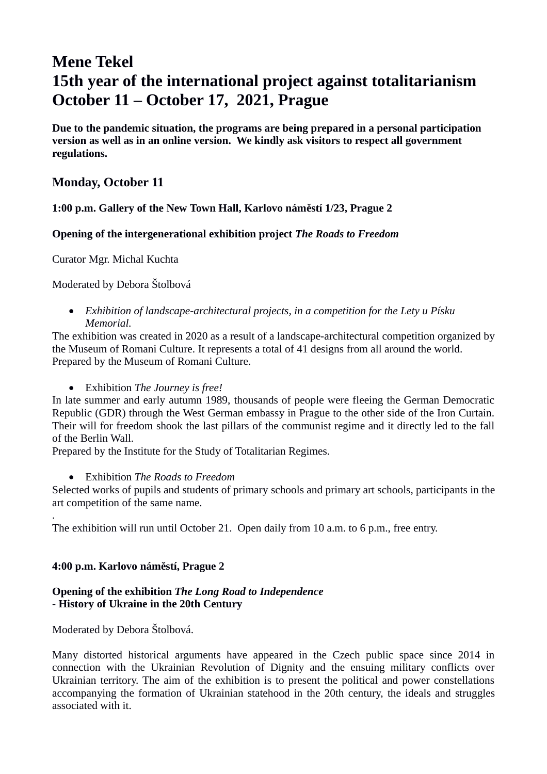# **Mene Tekel 15th year of the international project against totalitarianism October 11 – October 17, 2021, Prague**

**Due to the pandemic situation, the programs are being prepared in a personal participation version as well as in an online version. We kindly ask visitors to respect all government regulations.**

## **Monday, October 11**

#### **1:00 p.m. Gallery of the New Town Hall, Karlovo náměstí 1/23, Prague 2**

#### **Opening of the intergenerational exhibition project** *The Roads to Freedom*

Curator Mgr. Michal Kuchta

#### Moderated by Debora Štolbová

 *Exhibition of landscape-architectural projects, in a competition for the Lety u Písku Memorial.* 

The exhibition was created in 2020 as a result of a landscape-architectural competition organized by the Museum of Romani Culture. It represents a total of 41 designs from all around the world. Prepared by the Museum of Romani Culture.

Exhibition *The Journey is free!*

In late summer and early autumn 1989, thousands of people were fleeing the German Democratic Republic (GDR) through the West German embassy in Prague to the other side of the Iron Curtain. Their will for freedom shook the last pillars of the communist regime and it directly led to the fall of the Berlin Wall.

Prepared by the Institute for the Study of Totalitarian Regimes.

#### Exhibition *The Roads to Freedom*

Selected works of pupils and students of primary schools and primary art schools, participants in the art competition of the same name.

The exhibition will run until October 21. Open daily from 10 a.m. to 6 p.m., free entry.

#### **4:00 p.m. Karlovo náměstí, Prague 2**

#### **Opening of the exhibition** *The Long Road to Independence* **- History of Ukraine in the 20th Century**

Moderated by Debora Štolbová.

.

Many distorted historical arguments have appeared in the Czech public space since 2014 in connection with the Ukrainian Revolution of Dignity and the ensuing military conflicts over Ukrainian territory. The aim of the exhibition is to present the political and power constellations accompanying the formation of Ukrainian statehood in the 20th century, the ideals and struggles associated with it.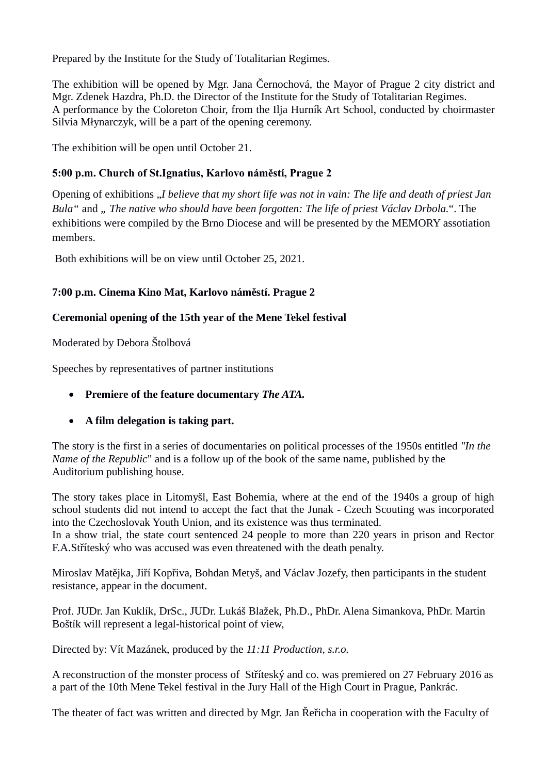Prepared by the Institute for the Study of Totalitarian Regimes.

The exhibition will be opened by Mgr. Jana Černochová, the Mayor of Prague 2 city district and Mgr. Zdenek Hazdra, Ph.D. the Director of the Institute for the Study of Totalitarian Regimes. A performance by the Coloreton Choir, from the Ilja Hurník Art School, conducted by choirmaster Silvia Młynarczyk, will be a part of the opening ceremony.

The exhibition will be open until October 21.

## **5:00 p.m. Church of St.Ignatius, Karlovo náměstí, Prague 2**

Opening of exhibitions "*I believe that my short life was not in vain: The life and death of priest Jan Bula"* and *" The native who should have been forgotten: The life of priest Václav Drbola.*". The exhibitions were compiled by the Brno Diocese and will be presented by the MEMORY assotiation members.

Both exhibitions will be on view until October 25, 2021.

## **7:00 p.m. Cinema Kino Mat, Karlovo náměstí. Prague 2**

## **Ceremonial opening of the 15th year of the Mene Tekel festival**

Moderated by Debora Štolbová

Speeches by representatives of partner institutions

- **Premiere of the feature documentary** *The ATA.*
- **A film delegation is taking part.**

The story is the first in a series of documentaries on political processes of the 1950s entitled *"In the Name of the Republic*" and is a follow up of the book of the same name, published by the Auditorium publishing house.

The story takes place in Litomyšl, East Bohemia, where at the end of the 1940s a group of high school students did not intend to accept the fact that the Junak - Czech Scouting was incorporated into the Czechoslovak Youth Union, and its existence was thus terminated. In a show trial, the state court sentenced 24 people to more than 220 years in prison and Rector

F.A.Stříteský who was accused was even threatened with the death penalty.

Miroslav Matějka, Jiří Kopřiva, Bohdan Metyš, and Václav Jozefy, then participants in the student resistance, appear in the document.

Prof. JUDr. Jan Kuklík, DrSc., JUDr. Lukáš Blažek, Ph.D., PhDr. Alena Simankova, PhDr. Martin Boštík will represent a legal-historical point of view,

Directed by: Vít Mazánek, produced by the *11:11 Production, s.r.o.*

A reconstruction of the monster process of Stříteský and co. was premiered on 27 February 2016 as a part of the 10th Mene Tekel festival in the Jury Hall of the High Court in Prague, Pankrác.

The theater of fact was written and directed by Mgr. Jan Řeřicha in cooperation with the Faculty of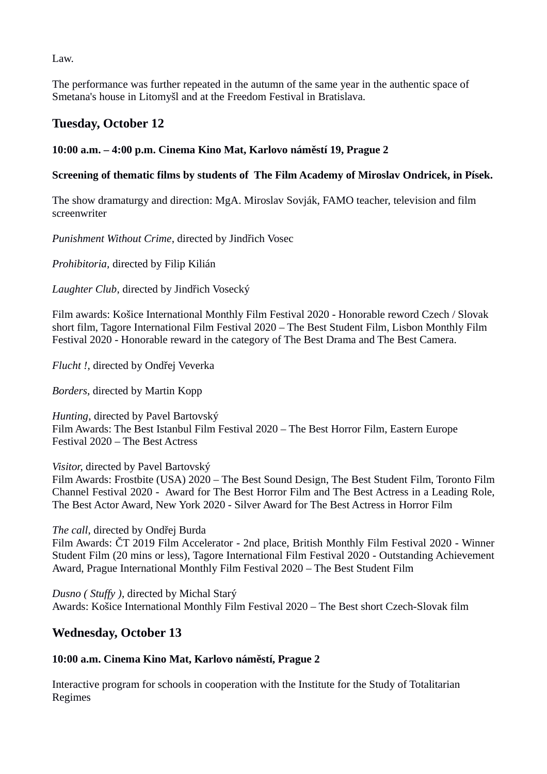Law.

The performance was further repeated in the autumn of the same year in the authentic space of Smetana's house in Litomyšl and at the Freedom Festival in Bratislava.

# **Tuesday, October 12**

## **10:00 a.m. – 4:00 p.m. Cinema Kino Mat, Karlovo náměstí 19, Prague 2**

### **Screening of thematic films by students of The Film Academy of Miroslav Ondricek, in Písek.**

The show dramaturgy and direction: MgA. Miroslav Sovják, FAMO teacher, television and film screenwriter

*Punishment Without Crime*, directed by Jindřich Vosec

*Prohibitoria,* directed by Filip Kilián

*Laughter Club*, directed by Jindřich Vosecký

Film awards: Košice International Monthly Film Festival 2020 - Honorable reword Czech / Slovak short film, Tagore International Film Festival 2020 – The Best Student Film, Lisbon Monthly Film Festival 2020 - Honorable reward in the category of The Best Drama and The Best Camera.

*Flucht !*, directed by Ondřej Veverka

*Borders*, directed by Martin Kopp

*Hunting*, directed by Pavel Bartovský Film Awards: The Best Istanbul Film Festival 2020 – The Best Horror Film, Eastern Europe Festival 2020 – The Best Actress

*Visitor*, directed by Pavel Bartovský

Film Awards: Frostbite (USA) 2020 – The Best Sound Design, The Best Student Film, Toronto Film Channel Festival 2020 - Award for The Best Horror Film and The Best Actress in a Leading Role, The Best Actor Award, New York 2020 - Silver Award for The Best Actress in Horror Film

*The call*, directed by Ondřej Burda

Film Awards: ČT 2019 Film Accelerator - 2nd place, British Monthly Film Festival 2020 - Winner Student Film (20 mins or less), Tagore International Film Festival 2020 - Outstanding Achievement Award, Prague International Monthly Film Festival 2020 – The Best Student Film

*Dusno ( Stuffy )*, directed by Michal Starý Awards: Košice International Monthly Film Festival 2020 – The Best short Czech-Slovak film

# **Wednesday, October 13**

#### **10:00 a.m. Cinema Kino Mat, Karlovo náměstí, Prague 2**

Interactive program for schools in cooperation with the Institute for the Study of Totalitarian Regimes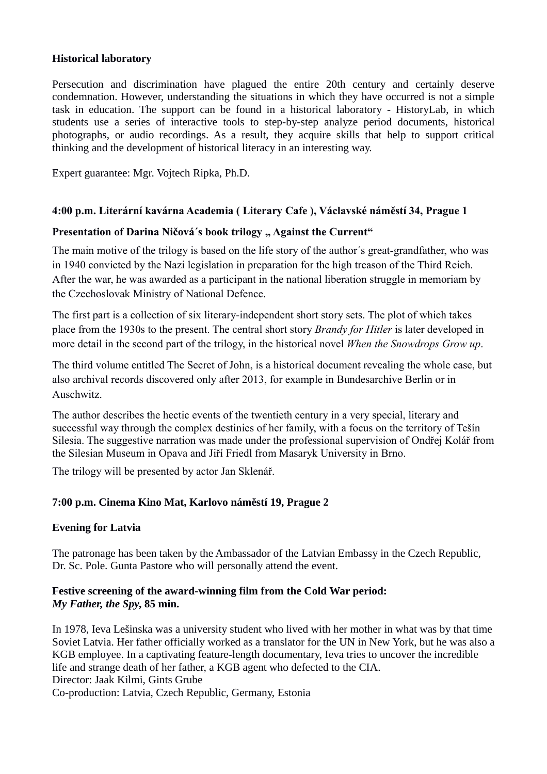#### **Historical laboratory**

Persecution and discrimination have plagued the entire 20th century and certainly deserve condemnation. However, understanding the situations in which they have occurred is not a simple task in education. The support can be found in a historical laboratory - HistoryLab, in which students use a series of interactive tools to step-by-step analyze period documents, historical photographs, or audio recordings. As a result, they acquire skills that help to support critical thinking and the development of historical literacy in an interesting way.

Expert guarantee: Mgr. Vojtech Ripka, Ph.D.

#### **4:00 p.m. Literární kavárna Academia ( Literary Cafe ), Václavské náměstí 34, Prague 1**

#### Presentation of Darina Ničová's book trilogy " Against the Current"

The main motive of the trilogy is based on the life story of the author´s great-grandfather, who was in 1940 convicted by the Nazi legislation in preparation for the high treason of the Third Reich. After the war, he was awarded as a participant in the national liberation struggle in memoriam by the Czechoslovak Ministry of National Defence.

The first part is a collection of six literary-independent short story sets. The plot of which takes place from the 1930s to the present. The central short story *Brandy for Hitler* is later developed in more detail in the second part of the trilogy, in the historical novel *When the Snowdrops Grow up*.

The third volume entitled The Secret of John, is a historical document revealing the whole case, but also archival records discovered only after 2013, for example in Bundesarchive Berlin or in Auschwitz.

The author describes the hectic events of the twentieth century in a very special, literary and successful way through the complex destinies of her family, with a focus on the territory of Tešín Silesia. The suggestive narration was made under the professional supervision of Ondřej Kolář from the Silesian Museum in Opava and Jiří Friedl from Masaryk University in Brno.

The trilogy will be presented by actor Jan Sklenář.

#### **7:00 p.m. Cinema Kino Mat, Karlovo náměstí 19, Prague 2**

#### **Evening for Latvia**

The patronage has been taken by the Ambassador of the Latvian Embassy in the Czech Republic, Dr. Sc. Pole. Gunta Pastore who will personally attend the event.

#### **Festive screening of the award-winning film from the Cold War period:**  *My Father, the Spy***, 85 min.**

In 1978, Ieva Lešinska was a university student who lived with her mother in what was by that time Soviet Latvia. Her father officially worked as a translator for the UN in New York, but he was also a KGB employee. In a captivating feature-length documentary, Ieva tries to uncover the incredible life and strange death of her father, a KGB agent who defected to the CIA. Director: Jaak Kilmi, Gints Grube Co-production: Latvia, Czech Republic, Germany, Estonia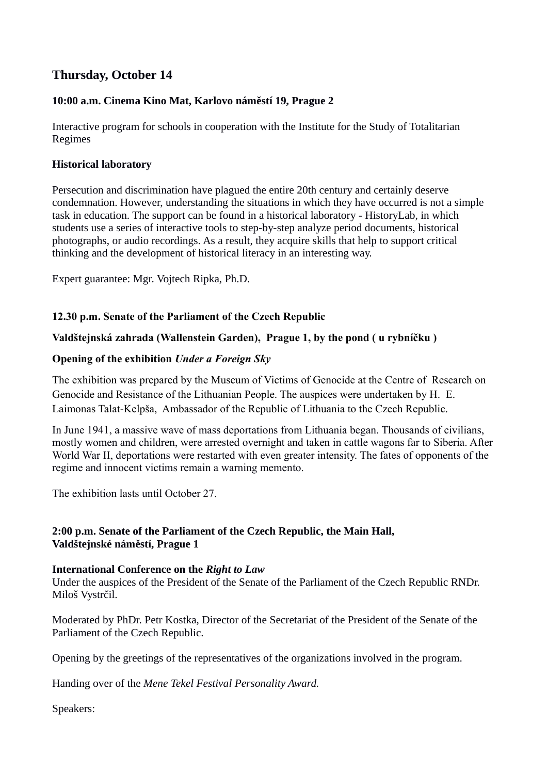# **Thursday, October 14**

## **10:00 a.m. Cinema Kino Mat, Karlovo náměstí 19, Prague 2**

Interactive program for schools in cooperation with the Institute for the Study of Totalitarian Regimes

#### **Historical laboratory**

Persecution and discrimination have plagued the entire 20th century and certainly deserve condemnation. However, understanding the situations in which they have occurred is not a simple task in education. The support can be found in a historical laboratory - HistoryLab, in which students use a series of interactive tools to step-by-step analyze period documents, historical photographs, or audio recordings. As a result, they acquire skills that help to support critical thinking and the development of historical literacy in an interesting way.

Expert guarantee: Mgr. Vojtech Ripka, Ph.D.

#### **12.30 p.m. Senate of the Parliament of the Czech Republic**

#### **Valdštejnská zahrada (Wallenstein Garden), Prague 1, by the pond ( u rybníčku )**

#### **Opening of the exhibition** *Under a Foreign Sky*

The exhibition was prepared by the Museum of Victims of Genocide at the Centre of Research on Genocide and Resistance of the Lithuanian People. The auspices were undertaken by H. E. Laimonas Talat-Kelpša, Ambassador of the Republic of Lithuania to the Czech Republic.

In June 1941, a massive wave of mass deportations from Lithuania began. Thousands of civilians, mostly women and children, were arrested overnight and taken in cattle wagons far to Siberia. After World War II, deportations were restarted with even greater intensity. The fates of opponents of the regime and innocent victims remain a warning memento.

The exhibition lasts until October 27.

## **2:00 p.m. Senate of the Parliament of the Czech Republic, the Main Hall, Valdštejnské náměstí, Prague 1**

#### **International Conference on the** *Right to Law*

Under the auspices of the President of the Senate of the Parliament of the Czech Republic RNDr. Miloš Vystrčil.

Moderated by PhDr. Petr Kostka, Director of the Secretariat of the President of the Senate of the Parliament of the Czech Republic.

Opening by the greetings of the representatives of the organizations involved in the program.

Handing over of the *Mene Tekel Festival Personality Award.*

Speakers: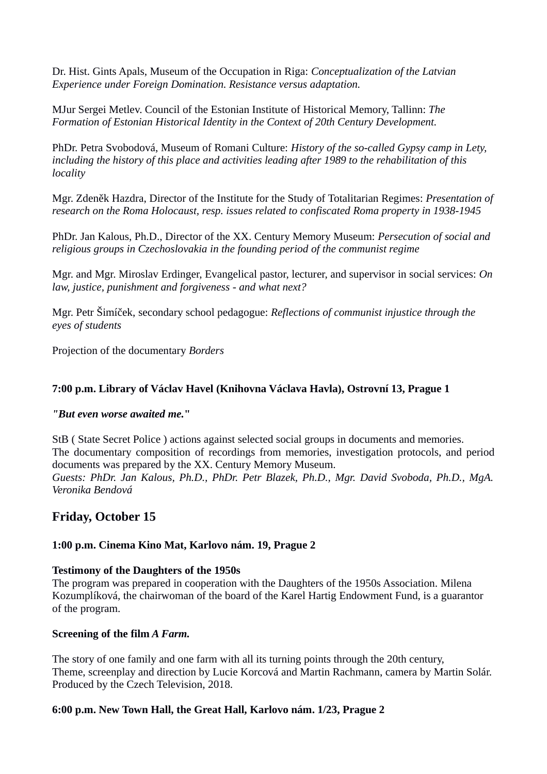Dr. Hist. Gints Apals, Museum of the Occupation in Riga: *Conceptualization of the Latvian Experience under Foreign Domination. Resistance versus adaptation.*

MJur Sergei Metlev. Council of the Estonian Institute of Historical Memory, Tallinn: *The Formation of Estonian Historical Identity in the Context of 20th Century Development.*

PhDr. Petra Svobodová, Museum of Romani Culture: *History of the so-called Gypsy camp in Lety, including the history of this place and activities leading after 1989 to the rehabilitation of this locality*

Mgr. Zdeněk Hazdra, Director of the Institute for the Study of Totalitarian Regimes: *Presentation of research on the Roma Holocaust, resp. issues related to confiscated Roma property in 1938-1945*

PhDr. Jan Kalous, Ph.D., Director of the XX. Century Memory Museum: *Persecution of social and religious groups in Czechoslovakia in the founding period of the communist regime*

Mgr. and Mgr. Miroslav Erdinger, Evangelical pastor, lecturer, and supervisor in social services: *On law, justice, punishment and forgiveness - and what next?*

Mgr. Petr Šimíček, secondary school pedagogue: *Reflections of communist injustice through the eyes of students*

Projection of the documentary *Borders*

#### **7:00 p.m. Library of Václav Havel (Knihovna Václava Havla), Ostrovní 13, Prague 1**

#### *"But even worse awaited me.***"**

StB ( State Secret Police ) actions against selected social groups in documents and memories. The documentary composition of recordings from memories, investigation protocols, and period documents was prepared by the XX. Century Memory Museum. *Guests: PhDr. Jan Kalous, Ph.D., PhDr. Petr Blazek, Ph.D., Mgr. David Svoboda, Ph.D., MgA. Veronika Bendová*

## **Friday, October 15**

#### **1:00 p.m. Cinema Kino Mat, Karlovo nám. 19, Prague 2**

#### **Testimony of the Daughters of the 1950s**

The program was prepared in cooperation with the Daughters of the 1950s Association. Milena Kozumplíková, the chairwoman of the board of the Karel Hartig Endowment Fund, is a guarantor of the program.

#### **Screening of the film** *A Farm.*

The story of one family and one farm with all its turning points through the 20th century, Theme, screenplay and direction by Lucie Korcová and Martin Rachmann, camera by Martin Solár. Produced by the Czech Television, 2018.

#### **6:00 p.m. New Town Hall, the Great Hall, Karlovo nám. 1/23, Prague 2**